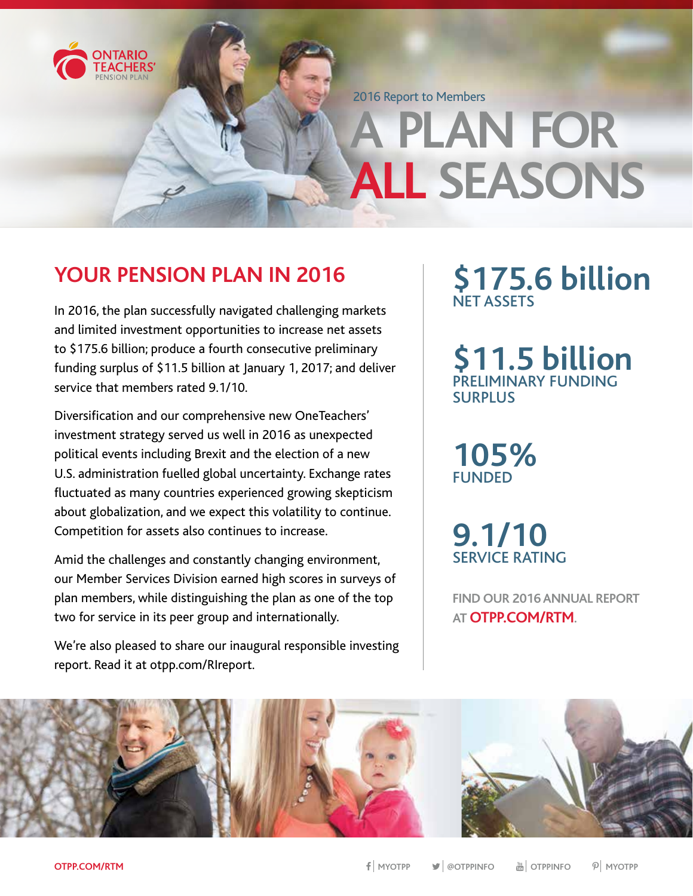

2016 Report to Members

# **A PLAN FOR ALL SEASONS**

## **YOUR PENSION PLAN IN 2016**

In 2016, the plan successfully navigated challenging markets and limited investment opportunities to increase net assets to \$175.6 billion; produce a fourth consecutive preliminary funding surplus of \$11.5 billion at January 1, 2017; and deliver service that members rated 9.1/10.

Diversification and our comprehensive new OneTeachers' investment strategy served us well in 2016 as unexpected political events including Brexit and the election of a new U.S. administration fuelled global uncertainty. Exchange rates fluctuated as many countries experienced growing skepticism about globalization, and we expect this volatility to continue. Competition for assets also continues to increase.

Amid the challenges and constantly changing environment, our Member Services Division earned high scores in surveys of plan members, while distinguishing the plan as one of the top two for service in its peer group and internationally.

We're also pleased to share our inaugural responsible investing report. Read it at otpp.com/RIreport.

## **\$175.6 billion** NET ASSETS

**\$11.5 billion** PRELIMINARY FUNDING SURPLUS

**105% FUNDED** 

**9.1/10**  SERVICE RATING

**FIND OUR 2016 ANNUAL REPORT AT OTPP.COM/RTM.**